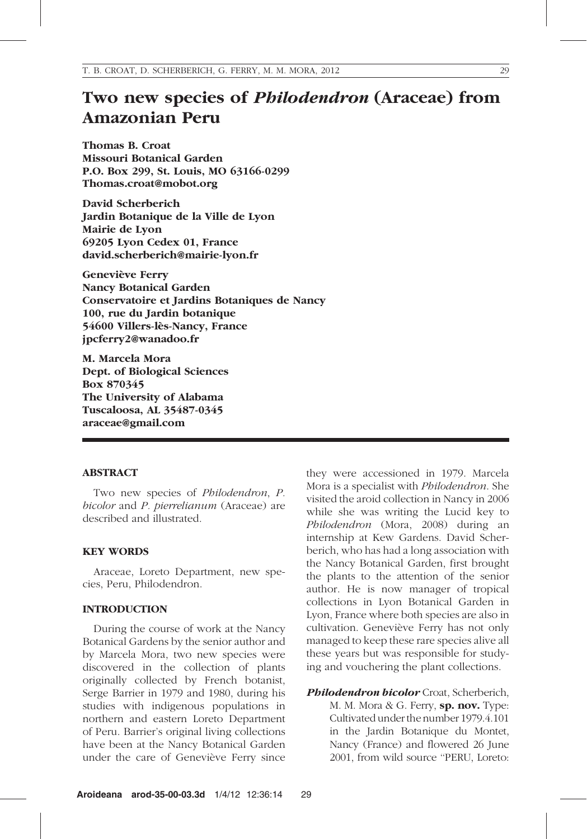# Two new species of Philodendron (Araceae) from Amazonian Peru

Thomas B. Croat Missouri Botanical Garden P.O. Box 299, St. Louis, MO 63166-0299 Thomas.croat@mobot.org

David Scherberich Jardin Botanique de la Ville de Lyon Mairie de Lyon 69205 Lyon Cedex 01, France david.scherberich@mairie-lyon.fr

Geneviève Ferry Nancy Botanical Garden Conservatoire et Jardins Botaniques de Nancy 100, rue du Jardin botanique 54600 Villers-lès-Nancy, France jpcferry2@wanadoo.fr

M. Marcela Mora Dept. of Biological Sciences Box 870345 The University of Alabama Tuscaloosa, AL 35487-0345 araceae@gmail.com

#### ABSTRACT

Two new species of Philodendron, P. bicolor and P. pierrelianum (Araceae) are described and illustrated.

### KEY WORDS

Araceae, Loreto Department, new species, Peru, Philodendron.

### INTRODUCTION

During the course of work at the Nancy Botanical Gardens by the senior author and by Marcela Mora, two new species were discovered in the collection of plants originally collected by French botanist, Serge Barrier in 1979 and 1980, during his studies with indigenous populations in northern and eastern Loreto Department of Peru. Barrier's original living collections have been at the Nancy Botanical Garden under the care of Geneviève Ferry since

they were accessioned in 1979. Marcela Mora is a specialist with Philodendron. She visited the aroid collection in Nancy in 2006 while she was writing the Lucid key to Philodendron (Mora, 2008) during an internship at Kew Gardens. David Scherberich, who has had a long association with the Nancy Botanical Garden, first brought the plants to the attention of the senior author. He is now manager of tropical collections in Lyon Botanical Garden in Lyon, France where both species are also in cultivation. Geneviève Ferry has not only managed to keep these rare species alive all these years but was responsible for studying and vouchering the plant collections.

Philodendron bicolor Croat, Scherberich, M. M. Mora & G. Ferry, sp. nov. Type: Cultivated under the number 1979.4.101 in the Jardin Botanique du Montet, Nancy (France) and flowered 26 June 2001, from wild source ''PERU, Loreto: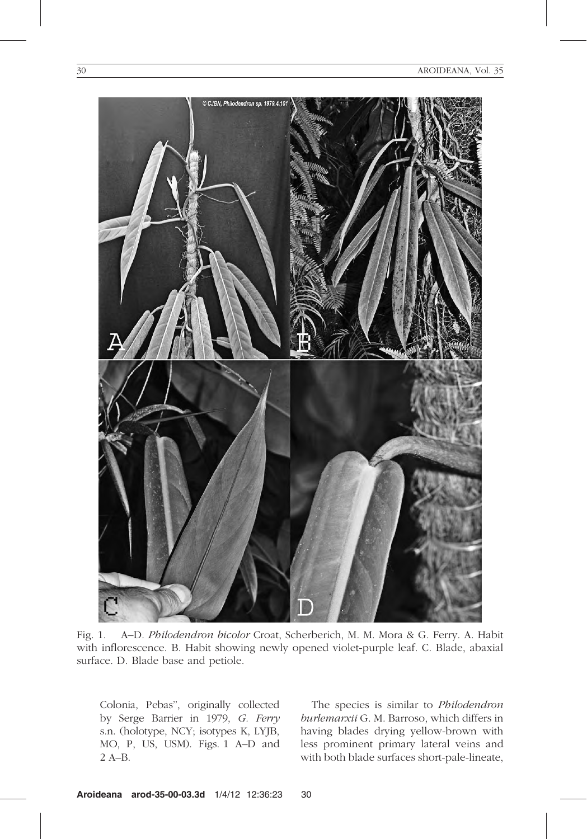

Fig. 1. A–D. Philodendron bicolor Croat, Scherberich, M. M. Mora & G. Ferry. A. Habit with inflorescence. B. Habit showing newly opened violet-purple leaf. C. Blade, abaxial surface. D. Blade base and petiole.

Colonia, Pebas'', originally collected by Serge Barrier in 1979, G. Ferry s.n. (holotype, NCY; isotypes K, LYJB, MO, P, US, USM). Figs. 1 A–D and 2 A–B.

The species is similar to Philodendron burlemarxii G. M. Barroso, which differs in having blades drying yellow-brown with less prominent primary lateral veins and with both blade surfaces short-pale-lineate,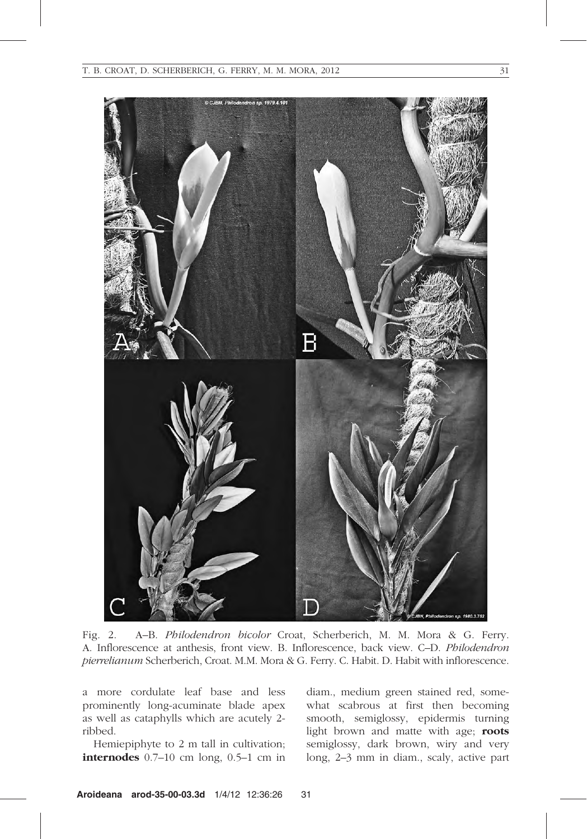

Fig. 2. A–B. Philodendron bicolor Croat, Scherberich, M. M. Mora & G. Ferry. A. Inflorescence at anthesis, front view. B. Inflorescence, back view. C–D. Philodendron pierrelianum Scherberich, Croat. M.M. Mora & G. Ferry. C. Habit. D. Habit with inflorescence.

a more cordulate leaf base and less prominently long-acuminate blade apex as well as cataphylls which are acutely 2 ribbed.

Hemiepiphyte to 2 m tall in cultivation; internodes 0.7–10 cm long, 0.5–1 cm in

diam., medium green stained red, somewhat scabrous at first then becoming smooth, semiglossy, epidermis turning light brown and matte with age; roots semiglossy, dark brown, wiry and very long, 2–3 mm in diam., scaly, active part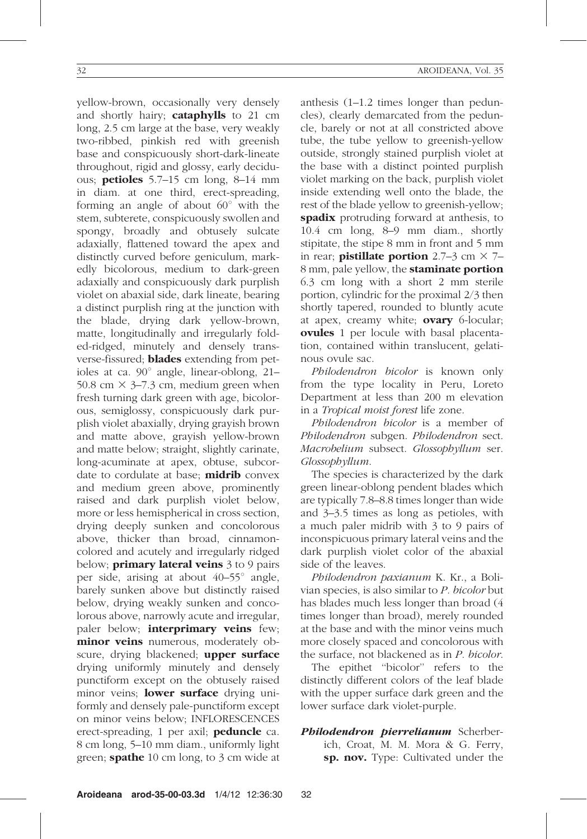yellow-brown, occasionally very densely and shortly hairy; cataphylls to 21 cm long, 2.5 cm large at the base, very weakly two-ribbed, pinkish red with greenish base and conspicuously short-dark-lineate throughout, rigid and glossy, early deciduous; **petioles**  $5.7-15$  cm long,  $8-14$  mm in diam. at one third, erect-spreading, forming an angle of about  $60^{\circ}$  with the stem, subterete, conspicuously swollen and spongy, broadly and obtusely sulcate adaxially, flattened toward the apex and distinctly curved before geniculum, markedly bicolorous, medium to dark-green adaxially and conspicuously dark purplish violet on abaxial side, dark lineate, bearing a distinct purplish ring at the junction with the blade, drying dark yellow-brown, matte, longitudinally and irregularly folded-ridged, minutely and densely transverse-fissured; **blades** extending from petioles at ca.  $90^\circ$  angle, linear-oblong, 21– 50.8 cm  $\times$  3–7.3 cm, medium green when fresh turning dark green with age, bicolorous, semiglossy, conspicuously dark purplish violet abaxially, drying grayish brown and matte above, grayish yellow-brown and matte below; straight, slightly carinate, long-acuminate at apex, obtuse, subcordate to cordulate at base: **midrib** convex and medium green above, prominently raised and dark purplish violet below, more or less hemispherical in cross section, drying deeply sunken and concolorous above, thicker than broad, cinnamoncolored and acutely and irregularly ridged below; **primary lateral veins** 3 to 9 pairs per side, arising at about  $40-55^{\circ}$  angle, barely sunken above but distinctly raised below, drying weakly sunken and concolorous above, narrowly acute and irregular, paler below; **interprimary veins** few; minor veins numerous, moderately obscure, drying blackened; **upper surface** drying uniformly minutely and densely punctiform except on the obtusely raised minor veins; lower surface drying uniformly and densely pale-punctiform except on minor veins below; INFLORESCENCES erect-spreading, 1 per axil; **peduncle** ca. 8 cm long, 5–10 mm diam., uniformly light green; **spathe** 10 cm long, to 3 cm wide at

anthesis (1–1.2 times longer than peduncles), clearly demarcated from the peduncle, barely or not at all constricted above tube, the tube yellow to greenish-yellow outside, strongly stained purplish violet at the base with a distinct pointed purplish violet marking on the back, purplish violet inside extending well onto the blade, the rest of the blade yellow to greenish-yellow; spadix protruding forward at anthesis, to 10.4 cm long, 8–9 mm diam., shortly stipitate, the stipe 8 mm in front and 5 mm in rear; **pistillate portion** 2.7–3 cm  $\times$  7– 8 mm, pale yellow, the staminate portion 6.3 cm long with a short 2 mm sterile portion, cylindric for the proximal 2/3 then shortly tapered, rounded to bluntly acute at apex, creamy white; ovary 6-locular; ovules 1 per locule with basal placentation, contained within translucent, gelatinous ovule sac.

Philodendron bicolor is known only from the type locality in Peru, Loreto Department at less than 200 m elevation in a Tropical moist forest life zone.

Philodendron bicolor is a member of Philodendron subgen. Philodendron sect. Macrobelium subsect. Glossophyllum ser. Glossophyllum.

The species is characterized by the dark green linear-oblong pendent blades which are typically 7.8–8.8 times longer than wide and 3–3.5 times as long as petioles, with a much paler midrib with 3 to 9 pairs of inconspicuous primary lateral veins and the dark purplish violet color of the abaxial side of the leaves.

Philodendron paxianum K. Kr., a Bolivian species, is also similar to P. bicolor but has blades much less longer than broad (4 times longer than broad), merely rounded at the base and with the minor veins much more closely spaced and concolorous with the surface, not blackened as in P. bicolor.

The epithet ''bicolor'' refers to the distinctly different colors of the leaf blade with the upper surface dark green and the lower surface dark violet-purple.

Philodendron pierrelianum Scherberich, Croat, M. M. Mora & G. Ferry, sp. nov. Type: Cultivated under the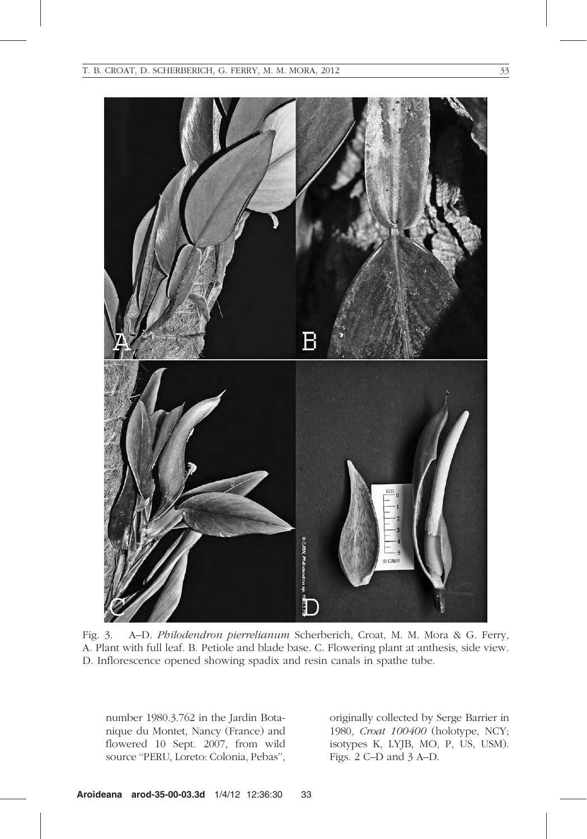

Fig. 3. A–D. Philodendron pierrelianum Scherberich, Croat, M. M. Mora & G. Ferry, A. Plant with full leaf. B. Petiole and blade base. C. Flowering plant at anthesis, side view. D. Inflorescence opened showing spadix and resin canals in spathe tube.

number 1980.3.762 in the Jardin Botanique du Montet, Nancy (France) and flowered 10 Sept. 2007, from wild source ''PERU, Loreto: Colonia, Pebas'',

originally collected by Serge Barrier in 1980, Croat 100400 (holotype, NCY; isotypes K, LYJB, MO, P, US, USM). Figs. 2 C–D and 3 A–D.